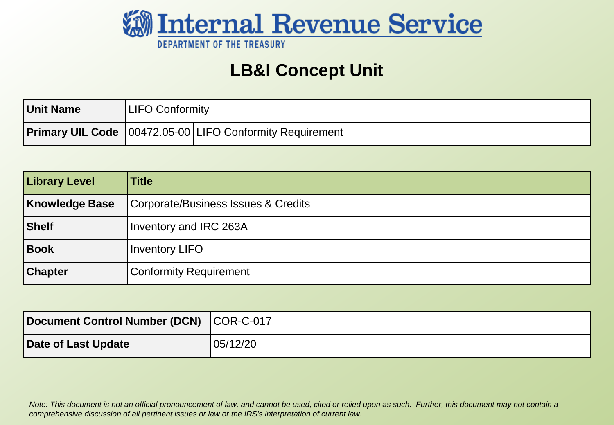

#### **LB&I Concept Unit**

| <b>Unit Name</b> | LIFO Conformity |                                                                     |
|------------------|-----------------|---------------------------------------------------------------------|
|                  |                 | <b>Primary UIL Code</b>   00472.05-00   LIFO Conformity Requirement |

| <b>Library Level</b> | <b>Title</b>                        |
|----------------------|-------------------------------------|
| Knowledge Base       | Corporate/Business Issues & Credits |
| Shelf                | Inventory and IRC 263A              |
| Book                 | <b>Inventory LIFO</b>               |
| <b>Chapter</b>       | <b>Conformity Requirement</b>       |

| Document Control Number (DCN) COR-C-017 |          |
|-----------------------------------------|----------|
| Date of Last Update                     | 05/12/20 |

*Note: This document is not an official pronouncement of law, and cannot be used, cited or relied upon as such. Further, this document may not contain a comprehensive discussion of all pertinent issues or law or the IRS's interpretation of current law.*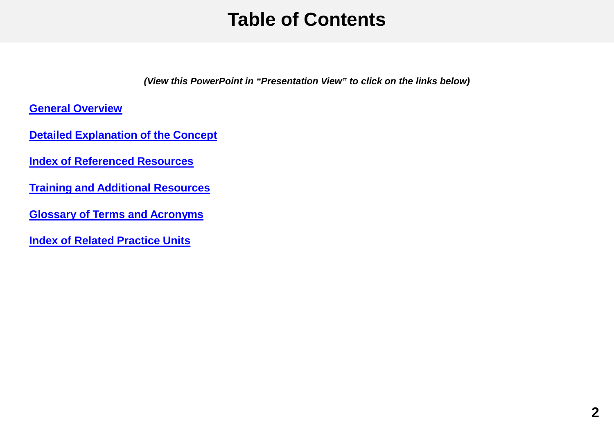### **Table of Contents**

*(View this PowerPoint in "Presentation View" to click on the links below)*

<span id="page-1-0"></span>**[General Overview](#page-2-0)**

**[Detailed Explanation of the Concept](#page-3-0)**

**[Index of Referenced Resources](#page-7-0)**

**[Training and Additional Resources](#page-8-0)**

**[Glossary of Terms and Acronyms](#page-9-0)**

**[Index of Related Practice Units](#page-10-0)**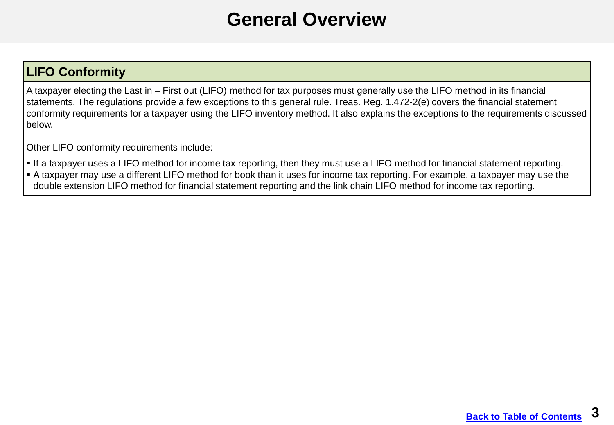#### **General Overview**

#### <span id="page-2-0"></span>**LIFO Conformity**

A taxpayer electing the Last in – First out (LIFO) method for tax purposes must generally use the LIFO method in its financial statements. The regulations provide a few exceptions to this general rule. Treas. Reg. 1.472-2(e) covers the financial statement conformity requirements for a taxpayer using the LIFO inventory method. It also explains the exceptions to the requirements discussed below.

Other LIFO conformity requirements include:

- If a taxpayer uses a LIFO method for income tax reporting, then they must use a LIFO method for financial statement reporting.
- A taxpayer may use a different LIFO method for book than it uses for income tax reporting. For example, a taxpayer may use the double extension LIFO method for financial statement reporting and the link chain LIFO method for income tax reporting.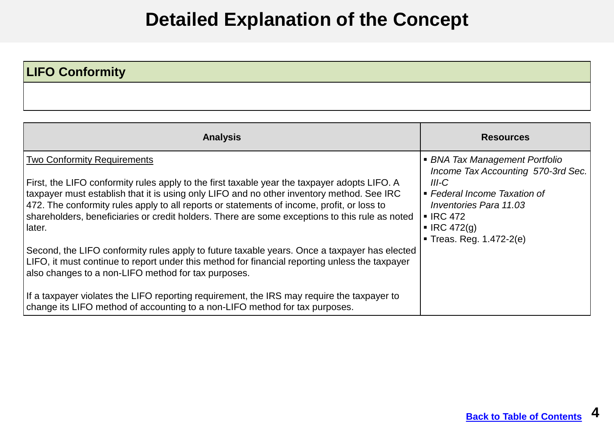# **Detailed Explanation of the Concept**

#### <span id="page-3-0"></span>**LIFO Conformity**

| <b>Analysis</b>                                                                                                                                                                                                                                                                                                                                                                                                                            | <b>Resources</b>                                                                                                                                                                                                                  |
|--------------------------------------------------------------------------------------------------------------------------------------------------------------------------------------------------------------------------------------------------------------------------------------------------------------------------------------------------------------------------------------------------------------------------------------------|-----------------------------------------------------------------------------------------------------------------------------------------------------------------------------------------------------------------------------------|
| <b>Two Conformity Requirements</b><br>First, the LIFO conformity rules apply to the first taxable year the taxpayer adopts LIFO. A<br>taxpayer must establish that it is using only LIFO and no other inventory method. See IRC<br>472. The conformity rules apply to all reports or statements of income, profit, or loss to<br>shareholders, beneficiaries or credit holders. There are some exceptions to this rule as noted<br>Ilater. | • BNA Tax Management Portfolio<br>Income Tax Accounting 570-3rd Sec.<br>III-C<br>• Federal Income Taxation of<br><b>Inventories Para 11.03</b><br>$\blacksquare$ IRC 472<br>$\blacksquare$ IRC 472(g)<br>■ Treas. Reg. 1.472-2(e) |
| Second, the LIFO conformity rules apply to future taxable years. Once a taxpayer has elected<br>LIFO, it must continue to report under this method for financial reporting unless the taxpayer<br>also changes to a non-LIFO method for tax purposes.<br>If a taxpayer violates the LIFO reporting requirement, the IRS may require the taxpayer to<br>change its LIFO method of accounting to a non-LIFO method for tax purposes.         |                                                                                                                                                                                                                                   |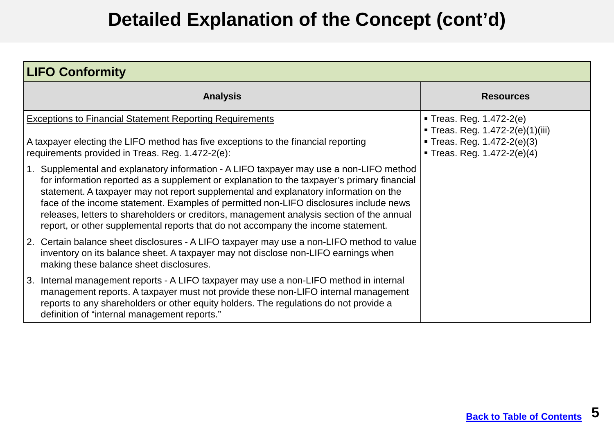## **Detailed Explanation of the Concept (cont'd)**

| <b>LIFO Conformity</b>                                                                                                                                                                                                                                                                                                                                                                                                                                                                                                                                    |                                                                                                                    |  |
|-----------------------------------------------------------------------------------------------------------------------------------------------------------------------------------------------------------------------------------------------------------------------------------------------------------------------------------------------------------------------------------------------------------------------------------------------------------------------------------------------------------------------------------------------------------|--------------------------------------------------------------------------------------------------------------------|--|
| <b>Analysis</b>                                                                                                                                                                                                                                                                                                                                                                                                                                                                                                                                           | <b>Resources</b>                                                                                                   |  |
| <b>Exceptions to Financial Statement Reporting Requirements</b><br>A taxpayer electing the LIFO method has five exceptions to the financial reporting<br>requirements provided in Treas. Reg. 1.472-2(e):                                                                                                                                                                                                                                                                                                                                                 | Treas. Reg. 1.472-2(e)<br>Treas. Reg. 1.472-2(e)(1)(iii)<br>Treas. Reg. 1.472-2(e)(3)<br>Treas. Reg. 1.472-2(e)(4) |  |
| 1. Supplemental and explanatory information - A LIFO taxpayer may use a non-LIFO method<br>for information reported as a supplement or explanation to the taxpayer's primary financial<br>statement. A taxpayer may not report supplemental and explanatory information on the<br>face of the income statement. Examples of permitted non-LIFO disclosures include news<br>releases, letters to shareholders or creditors, management analysis section of the annual<br>report, or other supplemental reports that do not accompany the income statement. |                                                                                                                    |  |
| 2. Certain balance sheet disclosures - A LIFO taxpayer may use a non-LIFO method to value<br>inventory on its balance sheet. A taxpayer may not disclose non-LIFO earnings when<br>making these balance sheet disclosures.                                                                                                                                                                                                                                                                                                                                |                                                                                                                    |  |
| 3. Internal management reports - A LIFO taxpayer may use a non-LIFO method in internal<br>management reports. A taxpayer must not provide these non-LIFO internal management<br>reports to any shareholders or other equity holders. The regulations do not provide a<br>definition of "internal management reports."                                                                                                                                                                                                                                     |                                                                                                                    |  |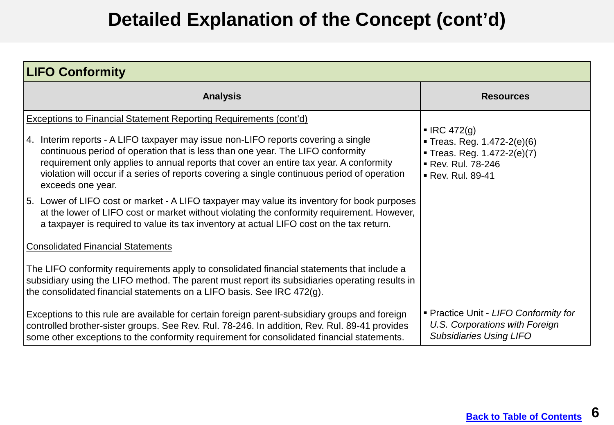# **Detailed Explanation of the Concept (cont'd)**

| <b>LIFO Conformity</b>                                                                                                                                                                                                                                                                                                                                                             |                                                                                                                    |
|------------------------------------------------------------------------------------------------------------------------------------------------------------------------------------------------------------------------------------------------------------------------------------------------------------------------------------------------------------------------------------|--------------------------------------------------------------------------------------------------------------------|
| <b>Analysis</b>                                                                                                                                                                                                                                                                                                                                                                    | <b>Resources</b>                                                                                                   |
| <b>Exceptions to Financial Statement Reporting Requirements (cont'd)</b>                                                                                                                                                                                                                                                                                                           |                                                                                                                    |
| 4. Interim reports - A LIFO taxpayer may issue non-LIFO reports covering a single<br>continuous period of operation that is less than one year. The LIFO conformity<br>requirement only applies to annual reports that cover an entire tax year. A conformity<br>violation will occur if a series of reports covering a single continuous period of operation<br>exceeds one year. | IRC 472(q)<br>Treas. Reg. 1.472-2(e)(6)<br>Treas. Reg. 1.472-2(e)(7)<br>Rev. Rul. 78-246<br><b>Rev. Rul. 89-41</b> |
| 5. Lower of LIFO cost or market - A LIFO taxpayer may value its inventory for book purposes<br>at the lower of LIFO cost or market without violating the conformity requirement. However,<br>a taxpayer is required to value its tax inventory at actual LIFO cost on the tax return.                                                                                              |                                                                                                                    |
| <b>Consolidated Financial Statements</b>                                                                                                                                                                                                                                                                                                                                           |                                                                                                                    |
| The LIFO conformity requirements apply to consolidated financial statements that include a<br>subsidiary using the LIFO method. The parent must report its subsidiaries operating results in<br>the consolidated financial statements on a LIFO basis. See IRC 472(g).                                                                                                             |                                                                                                                    |
| Exceptions to this rule are available for certain foreign parent-subsidiary groups and foreign<br>controlled brother-sister groups. See Rev. Rul. 78-246. In addition, Rev. Rul. 89-41 provides<br>some other exceptions to the conformity requirement for consolidated financial statements.                                                                                      | • Practice Unit - LIFO Conformity for<br>U.S. Corporations with Foreign<br><b>Subsidiaries Using LIFO</b>          |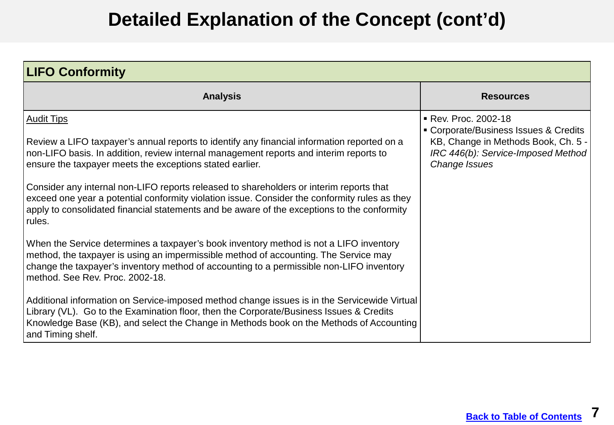# **Detailed Explanation of the Concept (cont'd)**

| <b>LIFO Conformity</b>                                                                                                                                                                                                                                                                                                                                                                                                                                                                                                                                                                                                   |                                                                                                                                                           |
|--------------------------------------------------------------------------------------------------------------------------------------------------------------------------------------------------------------------------------------------------------------------------------------------------------------------------------------------------------------------------------------------------------------------------------------------------------------------------------------------------------------------------------------------------------------------------------------------------------------------------|-----------------------------------------------------------------------------------------------------------------------------------------------------------|
| <b>Analysis</b>                                                                                                                                                                                                                                                                                                                                                                                                                                                                                                                                                                                                          | <b>Resources</b>                                                                                                                                          |
| <b>Audit Tips</b><br>Review a LIFO taxpayer's annual reports to identify any financial information reported on a<br>non-LIFO basis. In addition, review internal management reports and interim reports to<br>ensure the taxpayer meets the exceptions stated earlier.<br>Consider any internal non-LIFO reports released to shareholders or interim reports that<br>exceed one year a potential conformity violation issue. Consider the conformity rules as they<br>apply to consolidated financial statements and be aware of the exceptions to the conformity<br>rules.                                              | Rev. Proc. 2002-18<br>• Corporate/Business Issues & Credits<br>KB, Change in Methods Book, Ch. 5 -<br>IRC 446(b): Service-Imposed Method<br>Change Issues |
| When the Service determines a taxpayer's book inventory method is not a LIFO inventory<br>method, the taxpayer is using an impermissible method of accounting. The Service may<br>change the taxpayer's inventory method of accounting to a permissible non-LIFO inventory<br>method. See Rev. Proc. 2002-18.<br>Additional information on Service-imposed method change issues is in the Servicewide Virtual<br>Library (VL). Go to the Examination floor, then the Corporate/Business Issues & Credits<br>Knowledge Base (KB), and select the Change in Methods book on the Methods of Accounting<br>and Timing shelf. |                                                                                                                                                           |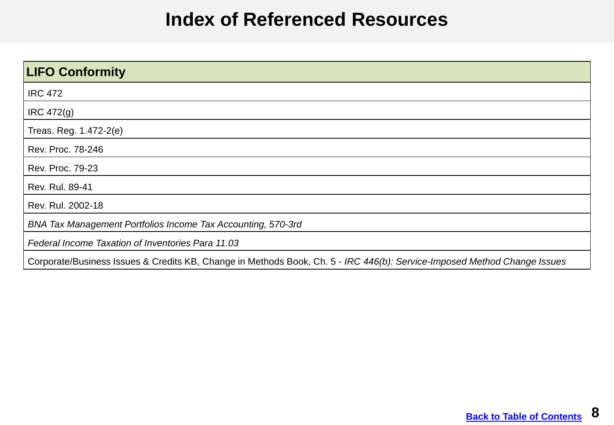#### **Index of Referenced Resources**

<span id="page-7-0"></span>

| <b>LIFO Conformity</b>                                                                                                   |
|--------------------------------------------------------------------------------------------------------------------------|
| <b>IRC 472</b>                                                                                                           |
| IRC 472(g)                                                                                                               |
| Treas. Reg. 1.472-2(e)                                                                                                   |
| Rev. Proc. 78-246                                                                                                        |
| Rev. Proc. 79-23                                                                                                         |
| Rev. Rul. 89-41                                                                                                          |
| Rev. Rul. 2002-18                                                                                                        |
| BNA Tax Management Portfolios Income Tax Accounting, 570-3rd                                                             |
| Federal Income Taxation of Inventories Para 11.03                                                                        |
| Corporate/Business Issues & Credits KB, Change in Methods Book, Ch. 5 - IRC 446(b): Service-Imposed Method Change Issues |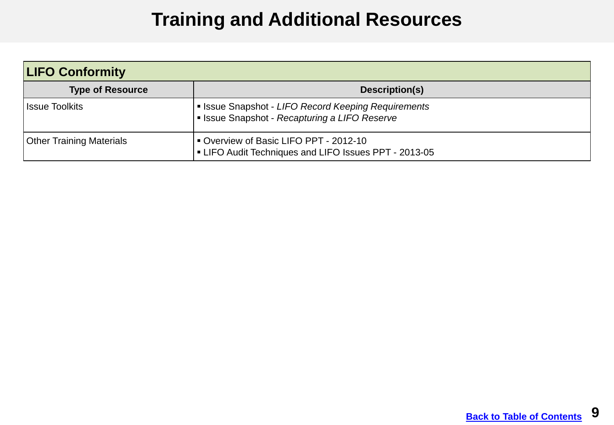# **Training and Additional Resources**

<span id="page-8-0"></span>

| <b>LIFO Conformity</b>   |                                                                                                              |
|--------------------------|--------------------------------------------------------------------------------------------------------------|
| <b>Type of Resource</b>  | Description(s)                                                                                               |
| l Issue Toolkits         | Signal Pecord Keeping Requirements I state Shape Acquirements<br>Issue Snapshot - Recapturing a LIFO Reserve |
| Other Training Materials | Overview of Basic LIFO PPT - 2012-10<br>LIFO Audit Techniques and LIFO Issues PPT - 2013-05                  |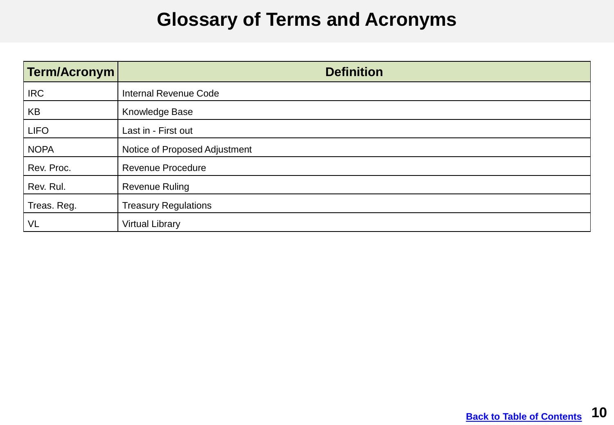### **Glossary of Terms and Acronyms**

<span id="page-9-0"></span>

| Term/Acronym | <b>Definition</b>             |
|--------------|-------------------------------|
| <b>IRC</b>   | <b>Internal Revenue Code</b>  |
| KB           | Knowledge Base                |
| <b>LIFO</b>  | Last in - First out           |
| <b>NOPA</b>  | Notice of Proposed Adjustment |
| Rev. Proc.   | <b>Revenue Procedure</b>      |
| Rev. Rul.    | <b>Revenue Ruling</b>         |
| Treas. Reg.  | <b>Treasury Regulations</b>   |
| <b>VL</b>    | <b>Virtual Library</b>        |